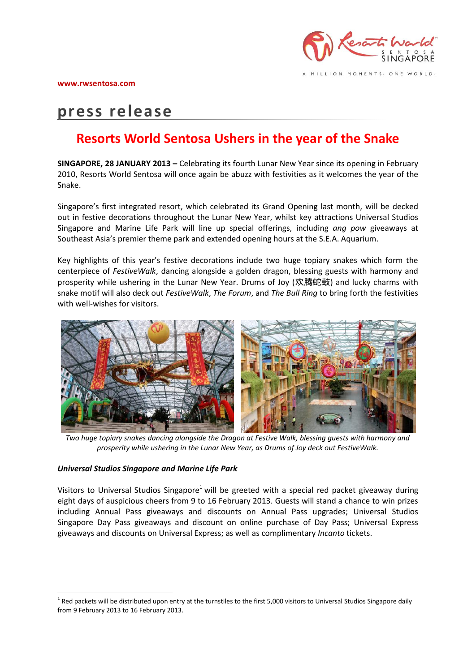# **press release**

## **Resorts World Sentosa Ushers in the year of the Snake**

**SINGAPORE, 28 JANUARY 2013 –** Celebrating its fourth Lunar New Year since its opening in February 2010, Resorts World Sentosa will once again be abuzz with festivities as it welcomes the year of the Snake.

Singapore's first integrated resort, which celebrated its Grand Opening last month, will be decked out in festive decorations throughout the Lunar New Year, whilst key attractions Universal Studios Singapore and Marine Life Park will line up special offerings, including *ang pow* giveaways at Southeast Asia's premier theme park and extended opening hours at the S.E.A. Aquarium.

Key highlights of this year's festive decorations include two huge topiary snakes which form the centerpiece of *FestiveWalk*, dancing alongside a golden dragon, blessing guests with harmony and prosperity while ushering in the Lunar New Year. Drums of Joy (欢腾蛇鼓) and lucky charms with snake motif will also deck out *FestiveWalk*, *The Forum*, and *The Bull Ring* to bring forth the festivities with well-wishes for visitors.



*Two huge topiary snakes dancing alongside the Dragon at Festive Walk, blessing guests with harmony and prosperity while ushering in the Lunar New Year, as Drums of Joy deck out FestiveWalk.*

#### *Universal Studios Singapore and Marine Life Park*

<u>.</u>

Visitors to Universal Studios Singapore<sup>1</sup> will be greeted with a special red packet giveaway during eight days of auspicious cheers from 9 to 16 February 2013. Guests will stand a chance to win prizes including Annual Pass giveaways and discounts on Annual Pass upgrades; Universal Studios Singapore Day Pass giveaways and discount on online purchase of Day Pass; Universal Express giveaways and discounts on Universal Express; as well as complimentary *Incanto* tickets.

 $^1$  Red packets will be distributed upon entry at the turnstiles to the first 5,000 visitors to Universal Studios Singapore daily from 9 February 2013 to 16 February 2013.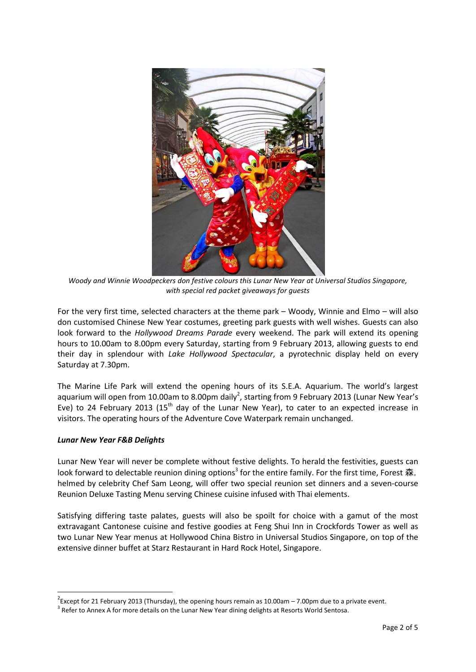

*Woody and Winnie Woodpeckers don festive colours this Lunar New Year at Universal Studios Singapore, with special red packet giveaways for guests*

For the very first time, selected characters at the theme park – Woody, Winnie and Elmo – will also don customised Chinese New Year costumes, greeting park guests with well wishes. Guests can also look forward to the *Hollywood Dreams Parade* every weekend. The park will extend its opening hours to 10.00am to 8.00pm every Saturday, starting from 9 February 2013, allowing guests to end their day in splendour with *Lake Hollywood Spectacular*, a pyrotechnic display held on every Saturday at 7.30pm.

The Marine Life Park will extend the opening hours of its S.E.A. Aquarium. The world's largest aquarium will open from 10.00am to 8.00pm daily<sup>2</sup>, starting from 9 February 2013 (Lunar New Year's Eve) to 24 February 2013 (15<sup>th</sup> day of the Lunar New Year), to cater to an expected increase in visitors. The operating hours of the Adventure Cove Waterpark remain unchanged.

#### *Lunar New Year F&B Delights*

<u>.</u>

Lunar New Year will never be complete without festive delights. To herald the festivities, guests can look forward to delectable reunion dining options<sup>3</sup> for the entire family. For the first time, Forest 森, helmed by celebrity Chef Sam Leong, will offer two special reunion set dinners and a seven-course Reunion Deluxe Tasting Menu serving Chinese cuisine infused with Thai elements.

Satisfying differing taste palates, guests will also be spoilt for choice with a gamut of the most extravagant Cantonese cuisine and festive goodies at Feng Shui Inn in Crockfords Tower as well as two Lunar New Year menus at Hollywood China Bistro in Universal Studios Singapore, on top of the extensive dinner buffet at Starz Restaurant in Hard Rock Hotel, Singapore.

 $2$ Except for 21 February 2013 (Thursday), the opening hours remain as 10.00am – 7.00pm due to a private event.

 $3$  Refer to Annex A for more details on the Lunar New Year dining delights at Resorts World Sentosa.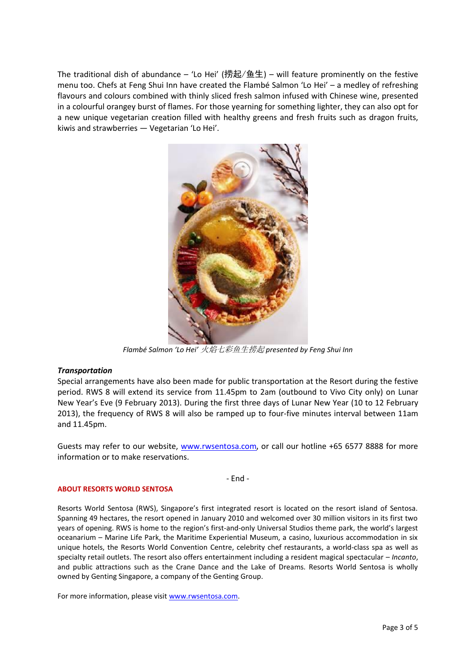The traditional dish of abundance – 'Lo Hei' (捞起/鱼生) – will feature prominently on the festive menu too. Chefs at Feng Shui Inn have created the Flambé Salmon 'Lo Hei' – a medley of refreshing flavours and colours combined with thinly sliced fresh salmon infused with Chinese wine, presented in a colourful orangey burst of flames. For those yearning for something lighter, they can also opt for a new unique vegetarian creation filled with healthy greens and fresh fruits such as dragon fruits, kiwis and strawberries — Vegetarian 'Lo Hei'.



*Flambé Salmon 'Lo Hei'* 火焰七彩鱼生捞起 *presented by Feng Shui Inn*

#### *Transportation*

Special arrangements have also been made for public transportation at the Resort during the festive period. RWS 8 will extend its service from 11.45pm to 2am (outbound to Vivo City only) on Lunar New Year's Eve (9 February 2013). During the first three days of Lunar New Year (10 to 12 February 2013), the frequency of RWS 8 will also be ramped up to four-five minutes interval between 11am and 11.45pm.

Guests may refer to our website, [www.rwsentosa.com](http://www.rwsentosa.com/), or call our hotline +65 6577 8888 for more information or to make reservations.

#### - End -

#### **ABOUT RESORTS WORLD SENTOSA**

Resorts World Sentosa (RWS), Singapore's first integrated resort is located on the resort island of Sentosa. Spanning 49 hectares, the resort opened in January 2010 and welcomed over 30 million visitors in its first two years of opening. RWS is home to the region's first-and-only Universal Studios theme park, the world's largest oceanarium – Marine Life Park, the Maritime Experiential Museum, a casino, luxurious accommodation in six unique hotels, the Resorts World Convention Centre, celebrity chef restaurants, a world-class spa as well as specialty retail outlets. The resort also offers entertainment including a resident magical spectacular – *Incanto*, and public attractions such as the Crane Dance and the Lake of Dreams. Resorts World Sentosa is wholly owned by Genting Singapore, a company of the Genting Group.

For more information, please visit [www.rwsentosa.com.](http://www.rwsentosa.com/)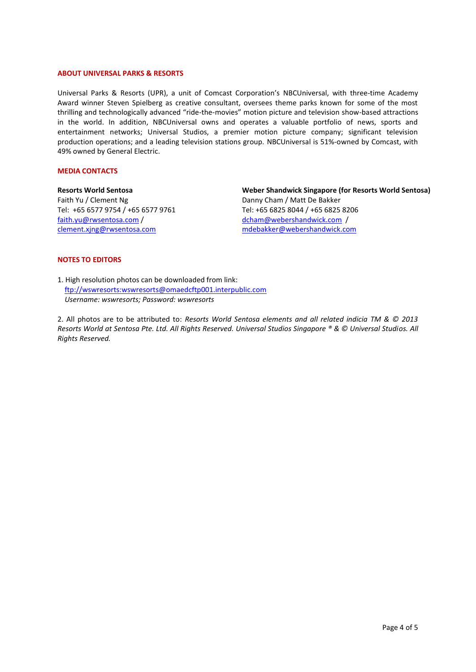#### **ABOUT UNIVERSAL PARKS & RESORTS**

Universal Parks & Resorts (UPR), a unit of Comcast Corporation's NBCUniversal, with three-time Academy Award winner Steven Spielberg as creative consultant, oversees theme parks known for some of the most thrilling and technologically advanced "ride-the-movies" motion picture and television show-based attractions in the world. In addition, NBCUniversal owns and operates a valuable portfolio of news, sports and entertainment networks; Universal Studios, a premier motion picture company; significant television production operations; and a leading television stations group. NBCUniversal is 51%-owned by Comcast, with 49% owned by General Electric.

#### **MEDIA CONTACTS**

**Resorts World Sentosa** Faith Yu / Clement Ng Tel: +65 6577 9754 / +65 6577 9761 [faith.yu@rwsentosa.com](mailto:faith.yu@rwsentosa.com) / [clement.xjng@rwsentosa.com](mailto:clement.xjng@rwsentosa.com)

**Weber Shandwick Singapore (for Resorts World Sentosa)**  Danny Cham / Matt De Bakker Tel: +65 6825 8044 / +65 6825 8206 [dcham@webershandwick.com](mailto:dcham@webershandwick.com) / mdebakker@webershandwick.com

#### **NOTES TO EDITORS**

1. High resolution photos can be downloaded from link: [ftp://wswresorts:wswresorts@omaedcftp001.interpublic.com](ftp://wswresorts:wswresorts@omaedcftp001.interpublic.com/)  *Username: wswresorts; Password: wswresorts* 

2. All photos are to be attributed to: *Resorts World Sentosa elements and all related indicia TM & © 2013 Resorts World at Sentosa Pte. Ltd. All Rights Reserved. Universal Studios Singapore ® & © Universal Studios. All Rights Reserved.*